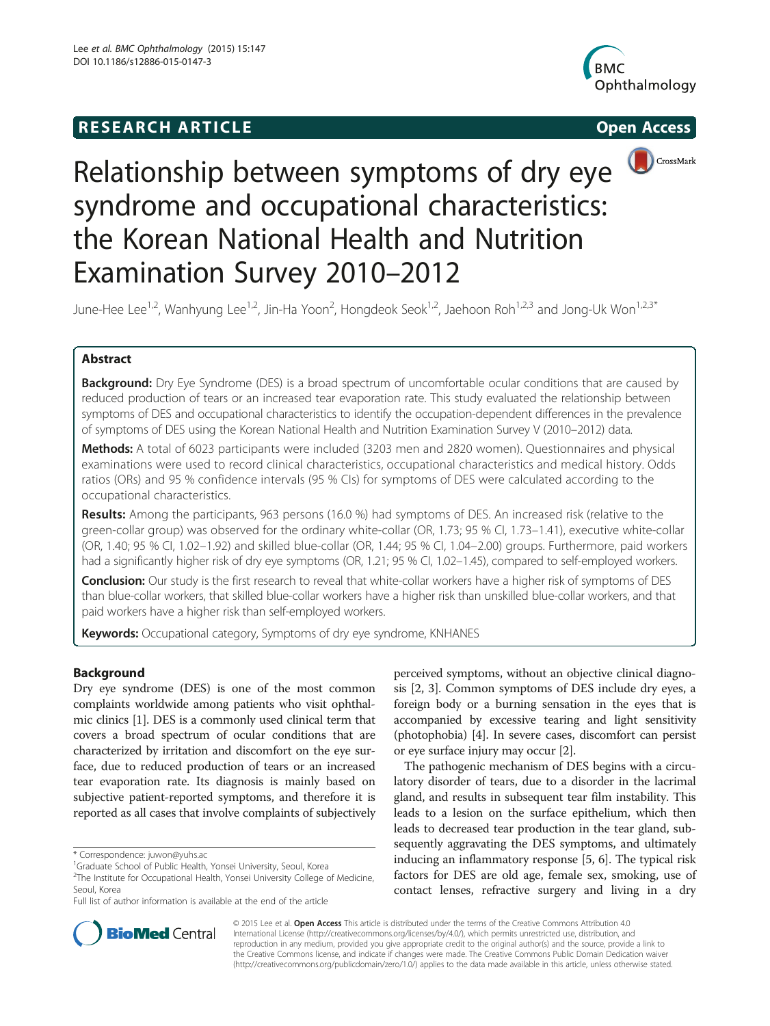# **RESEARCH ARTICLE Example 2014 CONSIDERING CONSIDERING CONSIDERING CONSIDERING CONSIDERING CONSIDERING CONSIDERING CONSIDERING CONSIDERING CONSIDERING CONSIDERING CONSIDERING CONSIDERING CONSIDERING CONSIDERING CONSIDE**





# Relationship between symptoms of dry eye syndrome and occupational characteristics: the Korean National Health and Nutrition Examination Survey 2010–2012

June-Hee Lee<sup>1,2</sup>, Wanhyung Lee<sup>1,2</sup>, Jin-Ha Yoon<sup>2</sup>, Hongdeok Seok<sup>1,2</sup>, Jaehoon Roh<sup>1,2,3</sup> and Jong-Uk Won<sup>1,2,3</sup>\*

# Abstract

**Background:** Dry Eye Syndrome (DES) is a broad spectrum of uncomfortable ocular conditions that are caused by reduced production of tears or an increased tear evaporation rate. This study evaluated the relationship between symptoms of DES and occupational characteristics to identify the occupation-dependent differences in the prevalence of symptoms of DES using the Korean National Health and Nutrition Examination Survey V (2010–2012) data.

Methods: A total of 6023 participants were included (3203 men and 2820 women). Questionnaires and physical examinations were used to record clinical characteristics, occupational characteristics and medical history. Odds ratios (ORs) and 95 % confidence intervals (95 % CIs) for symptoms of DES were calculated according to the occupational characteristics.

Results: Among the participants, 963 persons (16.0 %) had symptoms of DES. An increased risk (relative to the green-collar group) was observed for the ordinary white-collar (OR, 1.73; 95 % CI, 1.73-1.41), executive white-collar (OR, 1.40; 95 % CI, 1.02–1.92) and skilled blue-collar (OR, 1.44; 95 % CI, 1.04–2.00) groups. Furthermore, paid workers had a significantly higher risk of dry eye symptoms (OR, 1.21; 95 % CI, 1.02–1.45), compared to self-employed workers.

Conclusion: Our study is the first research to reveal that white-collar workers have a higher risk of symptoms of DES than blue-collar workers, that skilled blue-collar workers have a higher risk than unskilled blue-collar workers, and that paid workers have a higher risk than self-employed workers.

Keywords: Occupational category, Symptoms of dry eye syndrome, KNHANES

## Background

Dry eye syndrome (DES) is one of the most common complaints worldwide among patients who visit ophthalmic clinics [\[1](#page-8-0)]. DES is a commonly used clinical term that covers a broad spectrum of ocular conditions that are characterized by irritation and discomfort on the eye surface, due to reduced production of tears or an increased tear evaporation rate. Its diagnosis is mainly based on subjective patient-reported symptoms, and therefore it is reported as all cases that involve complaints of subjectively

perceived symptoms, without an objective clinical diagnosis [\[2, 3](#page-8-0)]. Common symptoms of DES include dry eyes, a foreign body or a burning sensation in the eyes that is accompanied by excessive tearing and light sensitivity (photophobia) [\[4](#page-8-0)]. In severe cases, discomfort can persist or eye surface injury may occur [[2](#page-8-0)].

The pathogenic mechanism of DES begins with a circulatory disorder of tears, due to a disorder in the lacrimal gland, and results in subsequent tear film instability. This leads to a lesion on the surface epithelium, which then leads to decreased tear production in the tear gland, subsequently aggravating the DES symptoms, and ultimately inducing an inflammatory response [\[5](#page-8-0), [6\]](#page-8-0). The typical risk factors for DES are old age, female sex, smoking, use of contact lenses, refractive surgery and living in a dry



© 2015 Lee et al. Open Access This article is distributed under the terms of the Creative Commons Attribution 4.0 International License [\(http://creativecommons.org/licenses/by/4.0/](http://creativecommons.org/licenses/by/4.0/)), which permits unrestricted use, distribution, and reproduction in any medium, provided you give appropriate credit to the original author(s) and the source, provide a link to the Creative Commons license, and indicate if changes were made. The Creative Commons Public Domain Dedication waiver [\(http://creativecommons.org/publicdomain/zero/1.0/](http://creativecommons.org/publicdomain/zero/1.0/)) applies to the data made available in this article, unless otherwise stated.

<sup>\*</sup> Correspondence: [juwon@yuhs.ac](mailto:juwon@yuhs.ac) <sup>1</sup>

<sup>&</sup>lt;sup>1</sup>Graduate School of Public Health, Yonsei University, Seoul, Korea

<sup>&</sup>lt;sup>2</sup>The Institute for Occupational Health, Yonsei University College of Medicine, Seoul, Korea

Full list of author information is available at the end of the article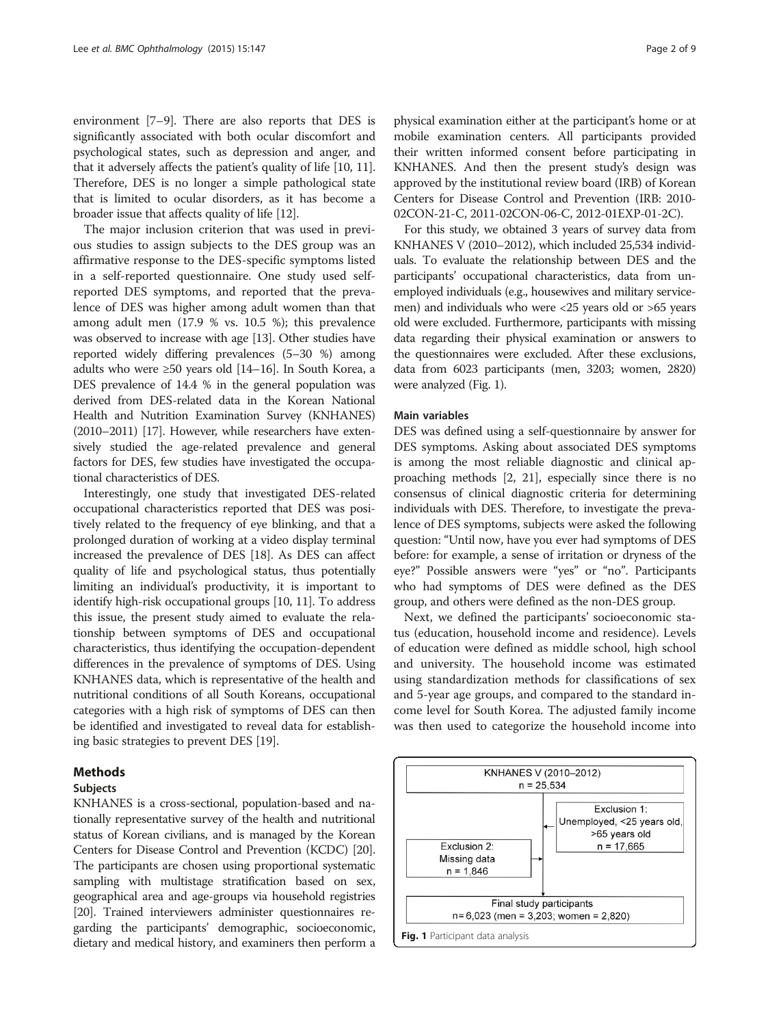environment [\[7](#page-8-0)–[9](#page-8-0)]. There are also reports that DES is significantly associated with both ocular discomfort and psychological states, such as depression and anger, and that it adversely affects the patient's quality of life [\[10, 11](#page-8-0)]. Therefore, DES is no longer a simple pathological state that is limited to ocular disorders, as it has become a broader issue that affects quality of life [[12](#page-8-0)].

The major inclusion criterion that was used in previous studies to assign subjects to the DES group was an affirmative response to the DES-specific symptoms listed in a self-reported questionnaire. One study used selfreported DES symptoms, and reported that the prevalence of DES was higher among adult women than that among adult men (17.9 % vs. 10.5 %); this prevalence was observed to increase with age [\[13\]](#page-8-0). Other studies have reported widely differing prevalences (5–30 %) among adults who were ≥50 years old [\[14](#page-8-0)–[16\]](#page-8-0). In South Korea, a DES prevalence of 14.4 % in the general population was derived from DES-related data in the Korean National Health and Nutrition Examination Survey (KNHANES) (2010–2011) [\[17\]](#page-8-0). However, while researchers have extensively studied the age-related prevalence and general factors for DES, few studies have investigated the occupational characteristics of DES.

Interestingly, one study that investigated DES-related occupational characteristics reported that DES was positively related to the frequency of eye blinking, and that a prolonged duration of working at a video display terminal increased the prevalence of DES [[18](#page-8-0)]. As DES can affect quality of life and psychological status, thus potentially limiting an individual's productivity, it is important to identify high-risk occupational groups [\[10](#page-8-0), [11\]](#page-8-0). To address this issue, the present study aimed to evaluate the relationship between symptoms of DES and occupational characteristics, thus identifying the occupation-dependent differences in the prevalence of symptoms of DES. Using KNHANES data, which is representative of the health and nutritional conditions of all South Koreans, occupational categories with a high risk of symptoms of DES can then be identified and investigated to reveal data for establishing basic strategies to prevent DES [\[19\]](#page-8-0).

### Methods

#### Subjects

KNHANES is a cross-sectional, population-based and nationally representative survey of the health and nutritional status of Korean civilians, and is managed by the Korean Centers for Disease Control and Prevention (KCDC) [\[20](#page-8-0)]. The participants are chosen using proportional systematic sampling with multistage stratification based on sex, geographical area and age-groups via household registries [[20](#page-8-0)]. Trained interviewers administer questionnaires regarding the participants' demographic, socioeconomic, dietary and medical history, and examiners then perform a

physical examination either at the participant's home or at mobile examination centers. All participants provided their written informed consent before participating in KNHANES. And then the present study's design was approved by the institutional review board (IRB) of Korean Centers for Disease Control and Prevention (IRB: 2010- 02CON-21-C, 2011-02CON-06-C, 2012-01EXP-01-2C).

For this study, we obtained 3 years of survey data from KNHANES V (2010–2012), which included 25,534 individuals. To evaluate the relationship between DES and the participants' occupational characteristics, data from unemployed individuals (e.g., housewives and military servicemen) and individuals who were <25 years old or >65 years old were excluded. Furthermore, participants with missing data regarding their physical examination or answers to the questionnaires were excluded. After these exclusions, data from 6023 participants (men, 3203; women, 2820) were analyzed (Fig. 1).

#### Main variables

DES was defined using a self-questionnaire by answer for DES symptoms. Asking about associated DES symptoms is among the most reliable diagnostic and clinical approaching methods [\[2](#page-8-0), [21\]](#page-8-0), especially since there is no consensus of clinical diagnostic criteria for determining individuals with DES. Therefore, to investigate the prevalence of DES symptoms, subjects were asked the following question: "Until now, have you ever had symptoms of DES before: for example, a sense of irritation or dryness of the eye?" Possible answers were "yes" or "no". Participants who had symptoms of DES were defined as the DES group, and others were defined as the non-DES group.

Next, we defined the participants' socioeconomic status (education, household income and residence). Levels of education were defined as middle school, high school and university. The household income was estimated using standardization methods for classifications of sex and 5-year age groups, and compared to the standard income level for South Korea. The adjusted family income was then used to categorize the household income into

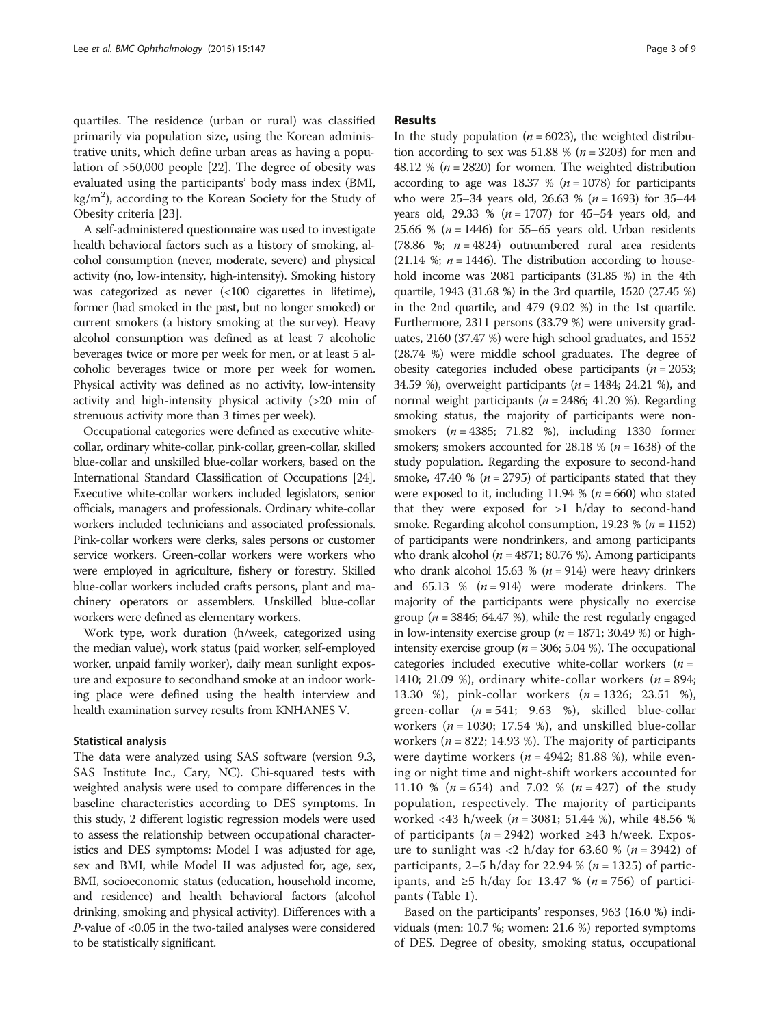quartiles. The residence (urban or rural) was classified primarily via population size, using the Korean administrative units, which define urban areas as having a population of >50,000 people [[22](#page-8-0)]. The degree of obesity was evaluated using the participants' body mass index (BMI,  $\text{kg/m}^2$ ), according to the Korean Society for the Study of Obesity criteria [[23](#page-8-0)].

A self-administered questionnaire was used to investigate health behavioral factors such as a history of smoking, alcohol consumption (never, moderate, severe) and physical activity (no, low-intensity, high-intensity). Smoking history was categorized as never (<100 cigarettes in lifetime), former (had smoked in the past, but no longer smoked) or current smokers (a history smoking at the survey). Heavy alcohol consumption was defined as at least 7 alcoholic beverages twice or more per week for men, or at least 5 alcoholic beverages twice or more per week for women. Physical activity was defined as no activity, low-intensity activity and high-intensity physical activity (>20 min of strenuous activity more than 3 times per week).

Occupational categories were defined as executive whitecollar, ordinary white-collar, pink-collar, green-collar, skilled blue-collar and unskilled blue-collar workers, based on the International Standard Classification of Occupations [\[24](#page-8-0)]. Executive white-collar workers included legislators, senior officials, managers and professionals. Ordinary white-collar workers included technicians and associated professionals. Pink-collar workers were clerks, sales persons or customer service workers. Green-collar workers were workers who were employed in agriculture, fishery or forestry. Skilled blue-collar workers included crafts persons, plant and machinery operators or assemblers. Unskilled blue-collar workers were defined as elementary workers.

Work type, work duration (h/week, categorized using the median value), work status (paid worker, self-employed worker, unpaid family worker), daily mean sunlight exposure and exposure to secondhand smoke at an indoor working place were defined using the health interview and health examination survey results from KNHANES V.

#### Statistical analysis

The data were analyzed using SAS software (version 9.3, SAS Institute Inc., Cary, NC). Chi-squared tests with weighted analysis were used to compare differences in the baseline characteristics according to DES symptoms. In this study, 2 different logistic regression models were used to assess the relationship between occupational characteristics and DES symptoms: Model I was adjusted for age, sex and BMI, while Model II was adjusted for, age, sex, BMI, socioeconomic status (education, household income, and residence) and health behavioral factors (alcohol drinking, smoking and physical activity). Differences with a P-value of <0.05 in the two-tailed analyses were considered to be statistically significant.

#### **Results**

In the study population ( $n = 6023$ ), the weighted distribution according to sex was 51.88 % ( $n = 3203$ ) for men and 48.12 % ( $n = 2820$ ) for women. The weighted distribution according to age was 18.37 % ( $n = 1078$ ) for participants who were  $25-34$  years old,  $26.63$  % ( $n = 1693$ ) for  $35-44$ years old, 29.33 % ( $n = 1707$ ) for 45–54 years old, and 25.66 % ( $n = 1446$ ) for 55–65 years old. Urban residents (78.86 %;  $n = 4824$ ) outnumbered rural area residents (21.14 %;  $n = 1446$ ). The distribution according to household income was 2081 participants (31.85 %) in the 4th quartile, 1943 (31.68 %) in the 3rd quartile, 1520 (27.45 %) in the 2nd quartile, and 479 (9.02 %) in the 1st quartile. Furthermore, 2311 persons (33.79 %) were university graduates, 2160 (37.47 %) were high school graduates, and 1552 (28.74 %) were middle school graduates. The degree of obesity categories included obese participants ( $n = 2053$ ; 34.59 %), overweight participants ( $n = 1484$ ; 24.21 %), and normal weight participants ( $n = 2486$ ; 41.20 %). Regarding smoking status, the majority of participants were nonsmokers  $(n = 4385; 71.82 \%)$ , including 1330 former smokers; smokers accounted for 28.18 % ( $n = 1638$ ) of the study population. Regarding the exposure to second-hand smoke, 47.40 % ( $n = 2795$ ) of participants stated that they were exposed to it, including 11.94 % ( $n = 660$ ) who stated that they were exposed for  $>1$  h/day to second-hand smoke. Regarding alcohol consumption, 19.23 % ( $n = 1152$ ) of participants were nondrinkers, and among participants who drank alcohol ( $n = 4871$ ; 80.76 %). Among participants who drank alcohol 15.63 % ( $n = 914$ ) were heavy drinkers and 65.13 %  $(n = 914)$  were moderate drinkers. The majority of the participants were physically no exercise group ( $n = 3846$ ; 64.47 %), while the rest regularly engaged in low-intensity exercise group ( $n = 1871$ ; 30.49 %) or highintensity exercise group ( $n = 306$ ; 5.04 %). The occupational categories included executive white-collar workers  $(n =$ 1410; 21.09 %), ordinary white-collar workers ( $n = 894$ ; 13.30 %), pink-collar workers (n = 1326; 23.51 %), green-collar  $(n = 541; 9.63 %)$ , skilled blue-collar workers ( $n = 1030$ ; 17.54 %), and unskilled blue-collar workers ( $n = 822$ ; 14.93 %). The majority of participants were daytime workers ( $n = 4942$ ; 81.88 %), while evening or night time and night-shift workers accounted for 11.10 % ( $n = 654$ ) and 7.02 % ( $n = 427$ ) of the study population, respectively. The majority of participants worked <43 h/week ( $n = 3081$ ; 51.44 %), while 48.56 % of participants ( $n = 2942$ ) worked ≥43 h/week. Exposure to sunlight was  $\langle 2 \text{ h}/\text{day} \rangle$  for 63.60 % (*n* = 3942) of participants, 2–5 h/day for 22.94 % ( $n = 1325$ ) of participants, and ≥5 h/day for 13.47 % ( $n = 756$ ) of participants (Table [1](#page-3-0)).

Based on the participants' responses, 963 (16.0 %) individuals (men: 10.7 %; women: 21.6 %) reported symptoms of DES. Degree of obesity, smoking status, occupational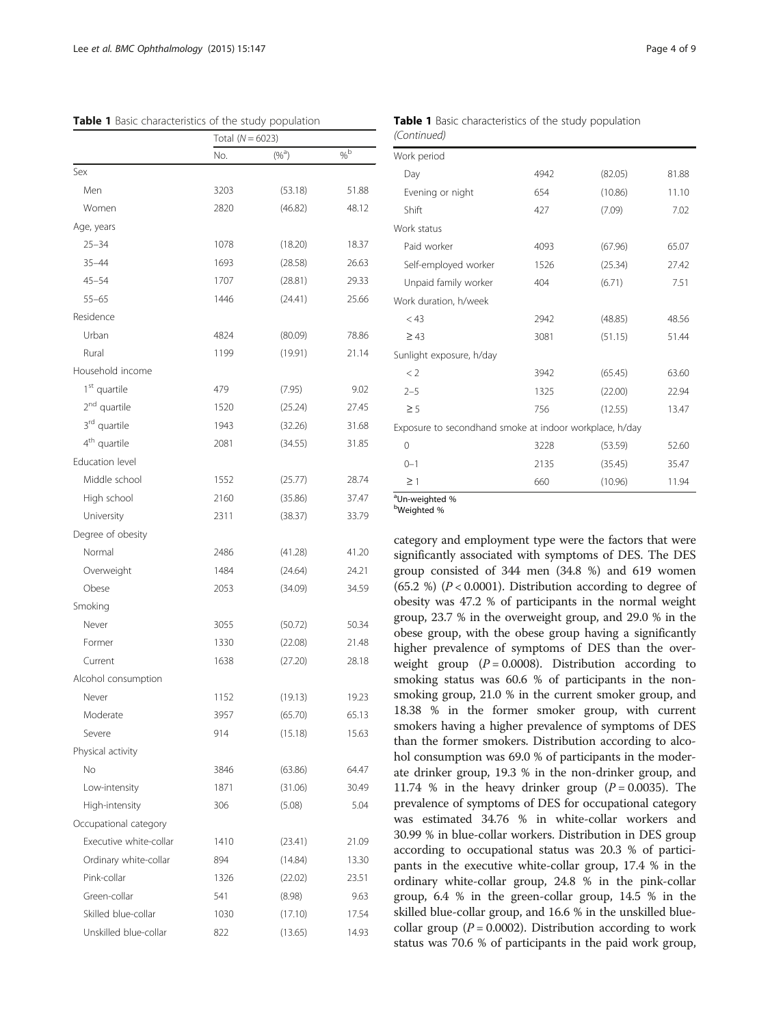<span id="page-3-0"></span>

|                          | Total $(N = 6023)$ |            |                 |
|--------------------------|--------------------|------------|-----------------|
|                          | No.                | $(\%^{a})$ | $\%^{\text{b}}$ |
| Sex                      |                    |            |                 |
| Men                      | 3203               | (53.18)    | 51.88           |
| Women                    | 2820               | (46.82)    | 48.12           |
| Age, years               |                    |            |                 |
| $25 - 34$                | 1078               | (18.20)    | 18.37           |
| $35 - 44$                | 1693               | (28.58)    | 26.63           |
| $45 - 54$                | 1707               | (28.81)    | 29.33           |
| $55 - 65$                | 1446               | (24.41)    | 25.66           |
| Residence                |                    |            |                 |
| Urban                    | 4824               | (80.09)    | 78.86           |
| Rural                    | 1199               | (19.91)    | 21.14           |
| Household income         |                    |            |                 |
| 1 <sup>st</sup> quartile | 479                | (7.95)     | 9.02            |
| 2 <sup>nd</sup> quartile | 1520               | (25.24)    | 27.45           |
| 3rd quartile             | 1943               | (32.26)    | 31.68           |
| 4 <sup>th</sup> quartile | 2081               | (34.55)    | 31.85           |
| Education level          |                    |            |                 |
| Middle school            | 1552               | (25.77)    | 28.74           |
| High school              | 2160               | (35.86)    | 37.47           |
| University               | 2311               | (38.37)    | 33.79           |
| Degree of obesity        |                    |            |                 |
| Normal                   | 2486               | (41.28)    | 41.20           |
| Overweight               | 1484               | (24.64)    | 24.21           |
| Obese                    | 2053               | (34.09)    | 34.59           |
| Smoking                  |                    |            |                 |
| Never                    | 3055               | (50.72)    | 50.34           |
| Former                   | 1330               | (22.08)    | 21.48           |
| Current                  | 1638               | (27.20)    | 28.18           |
| Alcohol consumption      |                    |            |                 |
| Never                    | 1152               | (19.13)    | 19.23           |
| Moderate                 | 3957               | (65.70)    | 65.13           |
| Severe                   | 914                | (15.18)    | 15.63           |
| Physical activity        |                    |            |                 |
| No                       | 3846               | (63.86)    | 64.47           |
| Low-intensity            | 1871               | (31.06)    | 30.49           |
| High-intensity           | 306                | (5.08)     | 5.04            |
| Occupational category    |                    |            |                 |
| Executive white-collar   | 1410               | (23.41)    | 21.09           |
| Ordinary white-collar    | 894                | (14.84)    | 13.30           |
| Pink-collar              | 1326               | (22.02)    | 23.51           |
| Green-collar             | 541                | (8.98)     | 9.63            |
| Skilled blue-collar      | 1030               | (17.10)    | 17.54           |
| Unskilled blue-collar    | 822                | (13.65)    | 14.93           |

| Work period                                             |      |         |       |  |  |  |  |
|---------------------------------------------------------|------|---------|-------|--|--|--|--|
| Day                                                     | 4942 | (82.05) | 81.88 |  |  |  |  |
| Evening or night                                        | 654  | (10.86) | 11.10 |  |  |  |  |
| Shift                                                   | 427  | (7.09)  | 7.02  |  |  |  |  |
| Work status                                             |      |         |       |  |  |  |  |
| Paid worker                                             | 4093 | (67.96) | 65.07 |  |  |  |  |
| Self-employed worker                                    | 1526 | (25.34) | 27.42 |  |  |  |  |
| Unpaid family worker                                    | 404  | (6.71)  | 7.51  |  |  |  |  |
| Work duration, h/week                                   |      |         |       |  |  |  |  |
| < 43                                                    | 2942 | (48.85) | 48.56 |  |  |  |  |
| $\geq 43$                                               | 3081 | (51.15) | 51.44 |  |  |  |  |
| Sunlight exposure, h/day                                |      |         |       |  |  |  |  |
| < 2                                                     | 3942 | (65.45) | 63.60 |  |  |  |  |
| $2 - 5$                                                 | 1325 | (22.00) | 22.94 |  |  |  |  |
| $\geq$ 5                                                | 756  | (12.55) | 13.47 |  |  |  |  |
| Exposure to secondhand smoke at indoor workplace, h/day |      |         |       |  |  |  |  |
| $\Omega$                                                | 3228 | (53.59) | 52.60 |  |  |  |  |
| $0 - 1$                                                 | 2135 | (35.45) | 35.47 |  |  |  |  |
| $\geq$ 1                                                | 660  | (10.96) | 11.94 |  |  |  |  |

#### Table 1 Basic characteristics of the study population (Continued)

a Un-weighted %

b Weighted %

category and employment type were the factors that were significantly associated with symptoms of DES. The DES group consisted of 344 men (34.8 %) and 619 women (65.2 %) ( $P < 0.0001$ ). Distribution according to degree of obesity was 47.2 % of participants in the normal weight group, 23.7 % in the overweight group, and 29.0 % in the obese group, with the obese group having a significantly higher prevalence of symptoms of DES than the overweight group  $(P = 0.0008)$ . Distribution according to smoking status was 60.6 % of participants in the nonsmoking group, 21.0 % in the current smoker group, and 18.38 % in the former smoker group, with current smokers having a higher prevalence of symptoms of DES than the former smokers. Distribution according to alcohol consumption was 69.0 % of participants in the moderate drinker group, 19.3 % in the non-drinker group, and 11.74 % in the heavy drinker group ( $P = 0.0035$ ). The prevalence of symptoms of DES for occupational category was estimated 34.76 % in white-collar workers and 30.99 % in blue-collar workers. Distribution in DES group according to occupational status was 20.3 % of participants in the executive white-collar group, 17.4 % in the ordinary white-collar group, 24.8 % in the pink-collar group, 6.4 % in the green-collar group, 14.5 % in the skilled blue-collar group, and 16.6 % in the unskilled bluecollar group ( $P = 0.0002$ ). Distribution according to work status was 70.6 % of participants in the paid work group,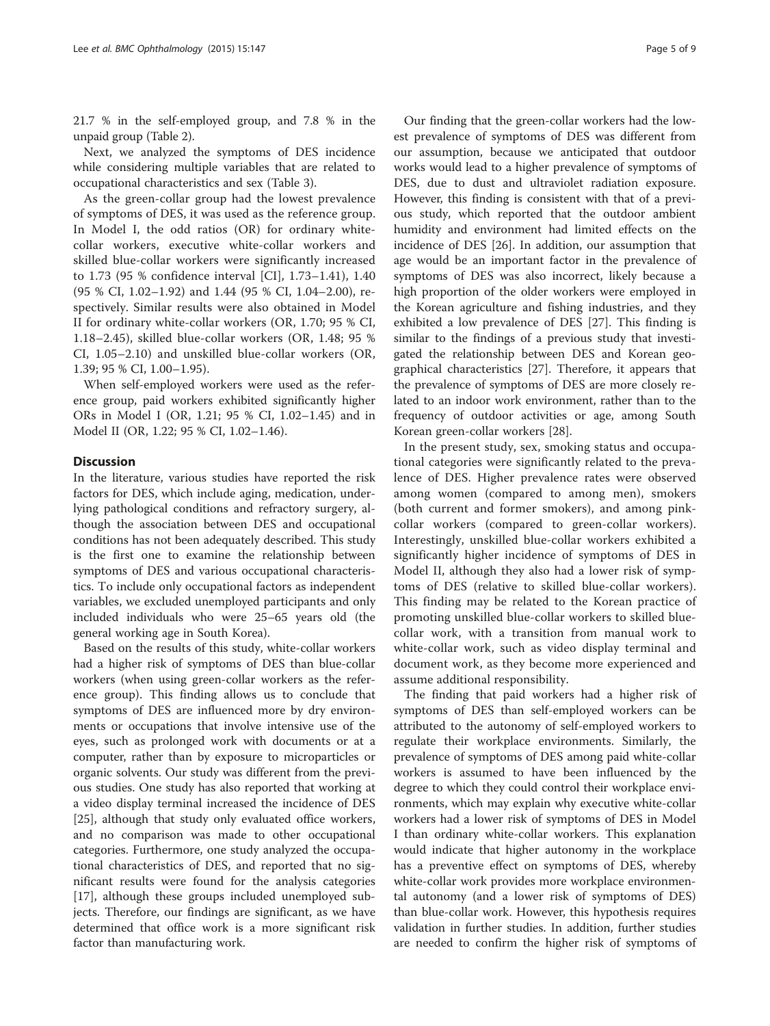21.7 % in the self-employed group, and 7.8 % in the unpaid group (Table [2](#page-5-0)).

Next, we analyzed the symptoms of DES incidence while considering multiple variables that are related to occupational characteristics and sex (Table [3\)](#page-7-0).

As the green-collar group had the lowest prevalence of symptoms of DES, it was used as the reference group. In Model I, the odd ratios (OR) for ordinary whitecollar workers, executive white-collar workers and skilled blue-collar workers were significantly increased to 1.73 (95 % confidence interval [CI], 1.73–1.41), 1.40 (95 % CI, 1.02–1.92) and 1.44 (95 % CI, 1.04–2.00), respectively. Similar results were also obtained in Model II for ordinary white-collar workers (OR, 1.70; 95 % CI, 1.18–2.45), skilled blue-collar workers (OR, 1.48; 95 % CI, 1.05–2.10) and unskilled blue-collar workers (OR, 1.39; 95 % CI, 1.00–1.95).

When self-employed workers were used as the reference group, paid workers exhibited significantly higher ORs in Model I (OR, 1.21; 95 % CI, 1.02–1.45) and in Model II (OR, 1.22; 95 % CI, 1.02–1.46).

#### **Discussion**

In the literature, various studies have reported the risk factors for DES, which include aging, medication, underlying pathological conditions and refractory surgery, although the association between DES and occupational conditions has not been adequately described. This study is the first one to examine the relationship between symptoms of DES and various occupational characteristics. To include only occupational factors as independent variables, we excluded unemployed participants and only included individuals who were 25–65 years old (the general working age in South Korea).

Based on the results of this study, white-collar workers had a higher risk of symptoms of DES than blue-collar workers (when using green-collar workers as the reference group). This finding allows us to conclude that symptoms of DES are influenced more by dry environments or occupations that involve intensive use of the eyes, such as prolonged work with documents or at a computer, rather than by exposure to microparticles or organic solvents. Our study was different from the previous studies. One study has also reported that working at a video display terminal increased the incidence of DES [[25\]](#page-8-0), although that study only evaluated office workers, and no comparison was made to other occupational categories. Furthermore, one study analyzed the occupational characteristics of DES, and reported that no significant results were found for the analysis categories [[17\]](#page-8-0), although these groups included unemployed subjects. Therefore, our findings are significant, as we have determined that office work is a more significant risk factor than manufacturing work.

Our finding that the green-collar workers had the lowest prevalence of symptoms of DES was different from our assumption, because we anticipated that outdoor works would lead to a higher prevalence of symptoms of DES, due to dust and ultraviolet radiation exposure. However, this finding is consistent with that of a previous study, which reported that the outdoor ambient humidity and environment had limited effects on the incidence of DES [\[26](#page-8-0)]. In addition, our assumption that age would be an important factor in the prevalence of symptoms of DES was also incorrect, likely because a high proportion of the older workers were employed in the Korean agriculture and fishing industries, and they exhibited a low prevalence of DES [\[27\]](#page-8-0). This finding is similar to the findings of a previous study that investigated the relationship between DES and Korean geographical characteristics [[27](#page-8-0)]. Therefore, it appears that the prevalence of symptoms of DES are more closely related to an indoor work environment, rather than to the frequency of outdoor activities or age, among South Korean green-collar workers [[28](#page-8-0)].

In the present study, sex, smoking status and occupational categories were significantly related to the prevalence of DES. Higher prevalence rates were observed among women (compared to among men), smokers (both current and former smokers), and among pinkcollar workers (compared to green-collar workers). Interestingly, unskilled blue-collar workers exhibited a significantly higher incidence of symptoms of DES in Model II, although they also had a lower risk of symptoms of DES (relative to skilled blue-collar workers). This finding may be related to the Korean practice of promoting unskilled blue-collar workers to skilled bluecollar work, with a transition from manual work to white-collar work, such as video display terminal and document work, as they become more experienced and assume additional responsibility.

The finding that paid workers had a higher risk of symptoms of DES than self-employed workers can be attributed to the autonomy of self-employed workers to regulate their workplace environments. Similarly, the prevalence of symptoms of DES among paid white-collar workers is assumed to have been influenced by the degree to which they could control their workplace environments, which may explain why executive white-collar workers had a lower risk of symptoms of DES in Model I than ordinary white-collar workers. This explanation would indicate that higher autonomy in the workplace has a preventive effect on symptoms of DES, whereby white-collar work provides more workplace environmental autonomy (and a lower risk of symptoms of DES) than blue-collar work. However, this hypothesis requires validation in further studies. In addition, further studies are needed to confirm the higher risk of symptoms of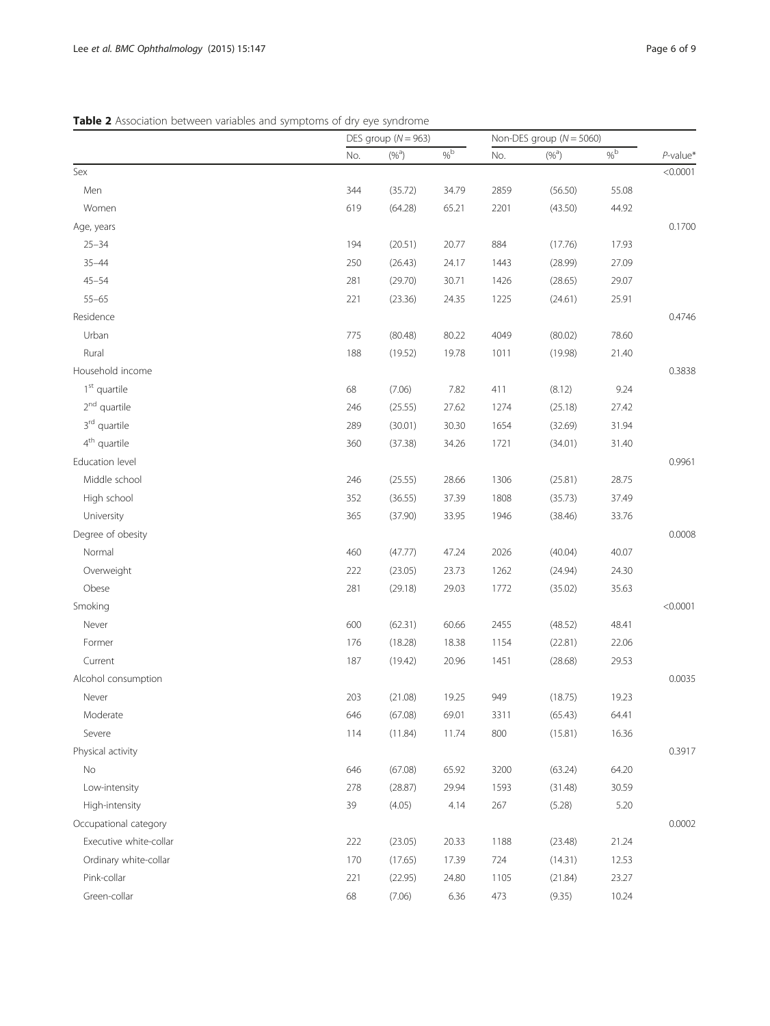<span id="page-5-0"></span>Table 2 Association between variables and symptoms of dry eye syndrome

|                          |     | DES group ( $N = 963$ ) |        | Non-DES group $(N = 5060)$ |           |        |             |
|--------------------------|-----|-------------------------|--------|----------------------------|-----------|--------|-------------|
|                          | No. | $(\%^{a})$              | $\%$ b | No.                        | $(%^{a})$ | $\%$ b | $P$ -value* |
| Sex                      |     |                         |        |                            |           |        | < 0.0001    |
| Men                      | 344 | (35.72)                 | 34.79  | 2859                       | (56.50)   | 55.08  |             |
| Women                    | 619 | (64.28)                 | 65.21  | 2201                       | (43.50)   | 44.92  |             |
| Age, years               |     |                         |        |                            |           |        | 0.1700      |
| $25 - 34$                | 194 | (20.51)                 | 20.77  | 884                        | (17.76)   | 17.93  |             |
| $35 - 44$                | 250 | (26.43)                 | 24.17  | 1443                       | (28.99)   | 27.09  |             |
| $45 - 54$                | 281 | (29.70)                 | 30.71  | 1426                       | (28.65)   | 29.07  |             |
| $55 - 65$                | 221 | (23.36)                 | 24.35  | 1225                       | (24.61)   | 25.91  |             |
| Residence                |     |                         |        |                            |           |        | 0.4746      |
| Urban                    | 775 | (80.48)                 | 80.22  | 4049                       | (80.02)   | 78.60  |             |
| Rural                    | 188 | (19.52)                 | 19.78  | 1011                       | (19.98)   | 21.40  |             |
| Household income         |     |                         |        |                            |           |        | 0.3838      |
| $1st$ quartile           | 68  | (7.06)                  | 7.82   | 411                        | (8.12)    | 9.24   |             |
| 2 <sup>nd</sup> quartile | 246 | (25.55)                 | 27.62  | 1274                       | (25.18)   | 27.42  |             |
| $3^{\rm rd}$ quartile    | 289 | (30.01)                 | 30.30  | 1654                       | (32.69)   | 31.94  |             |
| $4th$ quartile           | 360 | (37.38)                 | 34.26  | 1721                       | (34.01)   | 31.40  |             |
| Education level          |     |                         |        |                            |           |        | 0.9961      |
| Middle school            | 246 | (25.55)                 | 28.66  | 1306                       | (25.81)   | 28.75  |             |
| High school              | 352 | (36.55)                 | 37.39  | 1808                       | (35.73)   | 37.49  |             |
| University               | 365 | (37.90)                 | 33.95  | 1946                       | (38.46)   | 33.76  |             |
| Degree of obesity        |     |                         |        |                            |           |        | 0.0008      |
| Normal                   | 460 | (47.77)                 | 47.24  | 2026                       | (40.04)   | 40.07  |             |
| Overweight               | 222 | (23.05)                 | 23.73  | 1262                       | (24.94)   | 24.30  |             |
| Obese                    | 281 | (29.18)                 | 29.03  | 1772                       | (35.02)   | 35.63  |             |
| Smoking                  |     |                         |        |                            |           |        | < 0.0001    |
| Never                    | 600 | (62.31)                 | 60.66  | 2455                       | (48.52)   | 48.41  |             |
| Former                   | 176 | (18.28)                 | 18.38  | 1154                       | (22.81)   | 22.06  |             |
| Current                  | 187 | (19.42)                 | 20.96  | 1451                       | (28.68)   | 29.53  |             |
| Alcohol consumption      |     |                         |        |                            |           |        | 0.0035      |
| Never                    | 203 | (21.08)                 | 19.25  | 949                        | (18.75)   | 19.23  |             |
| Moderate                 | 646 | (67.08)                 | 69.01  | 3311                       | (65.43)   | 64.41  |             |
| Severe                   | 114 | (11.84)                 | 11.74  | 800                        | (15.81)   | 16.36  |             |
| Physical activity        |     |                         |        |                            |           |        | 0.3917      |
| No                       | 646 | (67.08)                 | 65.92  | 3200                       | (63.24)   | 64.20  |             |
| Low-intensity            | 278 | (28.87)                 | 29.94  | 1593                       | (31.48)   | 30.59  |             |
| High-intensity           | 39  | (4.05)                  | 4.14   | 267                        | (5.28)    | 5.20   |             |
| Occupational category    |     |                         |        |                            |           |        | 0.0002      |
| Executive white-collar   | 222 | (23.05)                 | 20.33  | 1188                       | (23.48)   | 21.24  |             |
| Ordinary white-collar    | 170 | (17.65)                 | 17.39  | 724                        | (14.31)   | 12.53  |             |
| Pink-collar              | 221 | (22.95)                 | 24.80  | 1105                       | (21.84)   | 23.27  |             |
| Green-collar             | 68  | (7.06)                  | 6.36   | 473                        | (9.35)    | 10.24  |             |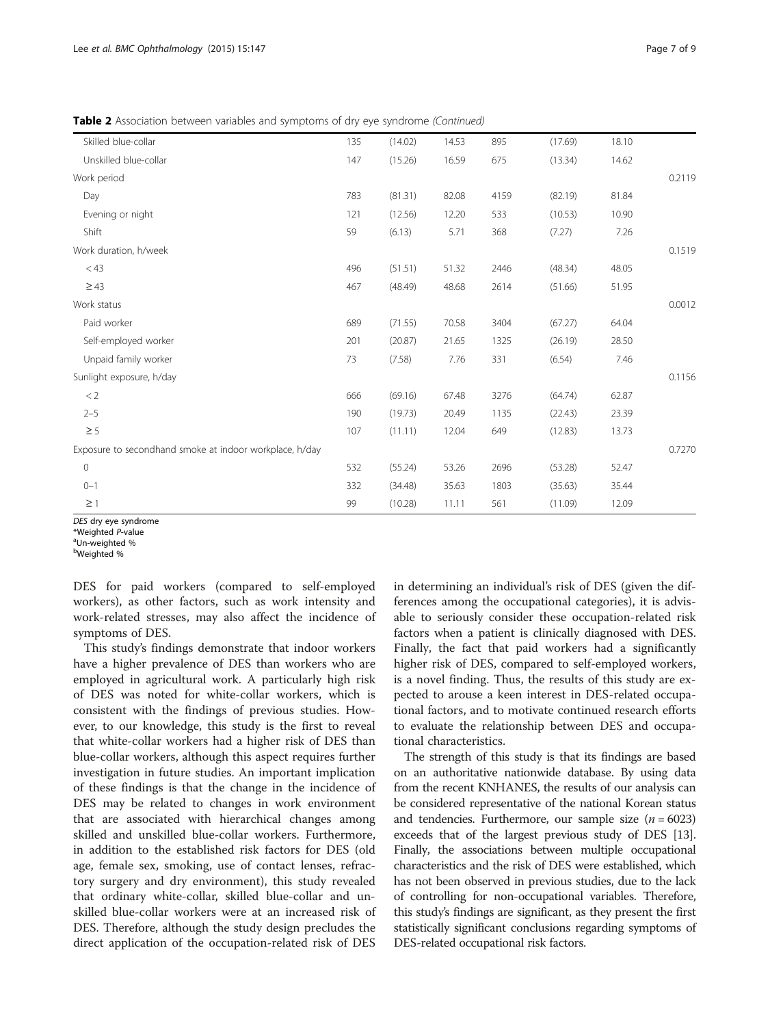Table 2 Association between variables and symptoms of dry eye syndrome (Continued)

| Skilled blue-collar                                     | 135 | (14.02) | 14.53 | 895  | (17.69) | 18.10 |        |
|---------------------------------------------------------|-----|---------|-------|------|---------|-------|--------|
| Unskilled blue-collar                                   | 147 | (15.26) | 16.59 | 675  | (13.34) | 14.62 |        |
| Work period                                             |     |         |       |      |         |       | 0.2119 |
| Day                                                     | 783 | (81.31) | 82.08 | 4159 | (82.19) | 81.84 |        |
| Evening or night                                        | 121 | (12.56) | 12.20 | 533  | (10.53) | 10.90 |        |
| Shift                                                   | 59  | (6.13)  | 5.71  | 368  | (7.27)  | 7.26  |        |
| Work duration, h/week                                   |     |         |       |      |         |       | 0.1519 |
| $<$ 43                                                  | 496 | (51.51) | 51.32 | 2446 | (48.34) | 48.05 |        |
| $\geq 43$                                               | 467 | (48.49) | 48.68 | 2614 | (51.66) | 51.95 |        |
| Work status                                             |     |         |       |      |         |       | 0.0012 |
| Paid worker                                             | 689 | (71.55) | 70.58 | 3404 | (67.27) | 64.04 |        |
| Self-employed worker                                    | 201 | (20.87) | 21.65 | 1325 | (26.19) | 28.50 |        |
| Unpaid family worker                                    | 73  | (7.58)  | 7.76  | 331  | (6.54)  | 7.46  |        |
| Sunlight exposure, h/day                                |     |         |       |      |         |       | 0.1156 |
| < 2                                                     | 666 | (69.16) | 67.48 | 3276 | (64.74) | 62.87 |        |
| $2 - 5$                                                 | 190 | (19.73) | 20.49 | 1135 | (22.43) | 23.39 |        |
| $\geq$ 5                                                | 107 | (11.11) | 12.04 | 649  | (12.83) | 13.73 |        |
| Exposure to secondhand smoke at indoor workplace, h/day |     |         |       |      |         |       | 0.7270 |
| $\mathsf{O}\xspace$                                     | 532 | (55.24) | 53.26 | 2696 | (53.28) | 52.47 |        |
| $0 - 1$                                                 | 332 | (34.48) | 35.63 | 1803 | (35.63) | 35.44 |        |
| $\geq$ 1                                                | 99  | (10.28) | 11.11 | 561  | (11.09) | 12.09 |        |

DES dry eye syndrome

\*Weighted P-value

DES for paid workers (compared to self-employed workers), as other factors, such as work intensity and work-related stresses, may also affect the incidence of symptoms of DES.

This study's findings demonstrate that indoor workers have a higher prevalence of DES than workers who are employed in agricultural work. A particularly high risk of DES was noted for white-collar workers, which is consistent with the findings of previous studies. However, to our knowledge, this study is the first to reveal that white-collar workers had a higher risk of DES than blue-collar workers, although this aspect requires further investigation in future studies. An important implication of these findings is that the change in the incidence of DES may be related to changes in work environment that are associated with hierarchical changes among skilled and unskilled blue-collar workers. Furthermore, in addition to the established risk factors for DES (old age, female sex, smoking, use of contact lenses, refractory surgery and dry environment), this study revealed that ordinary white-collar, skilled blue-collar and unskilled blue-collar workers were at an increased risk of DES. Therefore, although the study design precludes the direct application of the occupation-related risk of DES in determining an individual's risk of DES (given the differences among the occupational categories), it is advisable to seriously consider these occupation-related risk factors when a patient is clinically diagnosed with DES. Finally, the fact that paid workers had a significantly higher risk of DES, compared to self-employed workers, is a novel finding. Thus, the results of this study are expected to arouse a keen interest in DES-related occupational factors, and to motivate continued research efforts to evaluate the relationship between DES and occupational characteristics.

The strength of this study is that its findings are based on an authoritative nationwide database. By using data from the recent KNHANES, the results of our analysis can be considered representative of the national Korean status and tendencies. Furthermore, our sample size  $(n = 6023)$ exceeds that of the largest previous study of DES [\[13](#page-8-0)]. Finally, the associations between multiple occupational characteristics and the risk of DES were established, which has not been observed in previous studies, due to the lack of controlling for non-occupational variables. Therefore, this study's findings are significant, as they present the first statistically significant conclusions regarding symptoms of DES-related occupational risk factors.

Un-weighted % <sup>b</sup>Weighted %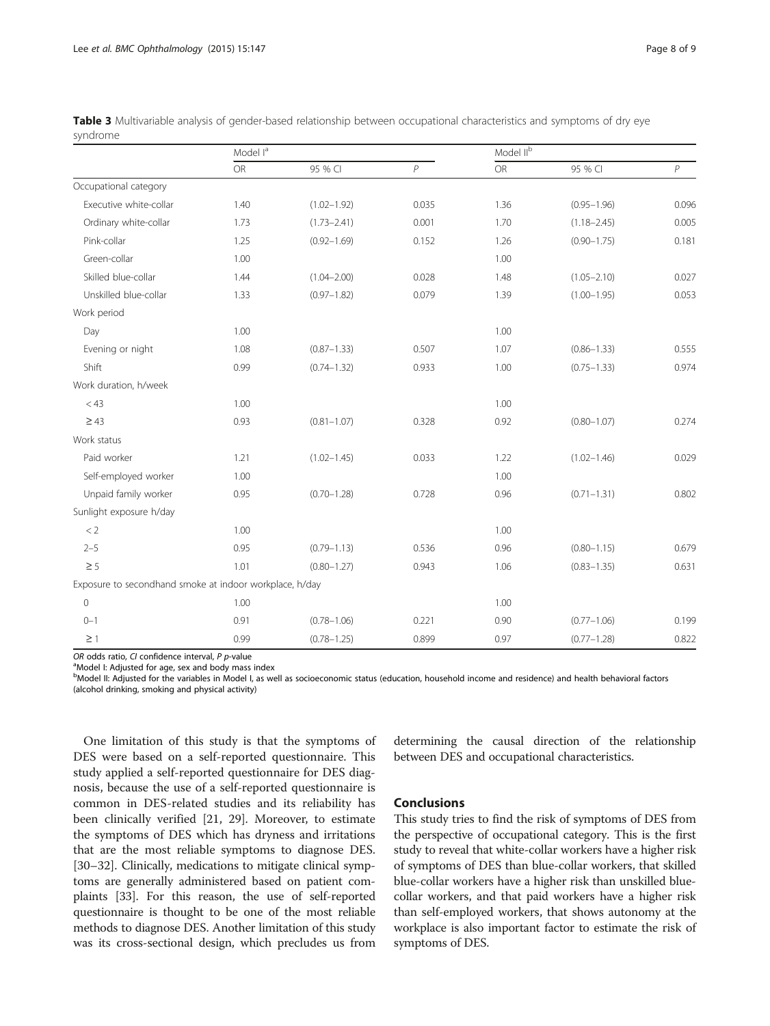|                                                         | Model l <sup>a</sup> |                 |       |      | Model II <sup>b</sup> |                |  |  |
|---------------------------------------------------------|----------------------|-----------------|-------|------|-----------------------|----------------|--|--|
|                                                         | <b>OR</b>            | 95 % CI         | P     | OR   | 95 % CI               | $\overline{P}$ |  |  |
| Occupational category                                   |                      |                 |       |      |                       |                |  |  |
| Executive white-collar                                  | 1.40                 | $(1.02 - 1.92)$ | 0.035 | 1.36 | $(0.95 - 1.96)$       | 0.096          |  |  |
| Ordinary white-collar                                   | 1.73                 | $(1.73 - 2.41)$ | 0.001 | 1.70 | $(1.18 - 2.45)$       | 0.005          |  |  |
| Pink-collar                                             | 1.25                 | $(0.92 - 1.69)$ | 0.152 | 1.26 | $(0.90 - 1.75)$       | 0.181          |  |  |
| Green-collar                                            | 1.00                 |                 |       | 1.00 |                       |                |  |  |
| Skilled blue-collar                                     | 1.44                 | $(1.04 - 2.00)$ | 0.028 | 1.48 | $(1.05 - 2.10)$       | 0.027          |  |  |
| Unskilled blue-collar                                   | 1.33                 | $(0.97 - 1.82)$ | 0.079 | 1.39 | $(1.00 - 1.95)$       | 0.053          |  |  |
| Work period                                             |                      |                 |       |      |                       |                |  |  |
| Day                                                     | 1.00                 |                 |       | 1.00 |                       |                |  |  |
| Evening or night                                        | 1.08                 | $(0.87 - 1.33)$ | 0.507 | 1.07 | $(0.86 - 1.33)$       | 0.555          |  |  |
| Shift                                                   | 0.99                 | $(0.74 - 1.32)$ | 0.933 | 1.00 | $(0.75 - 1.33)$       | 0.974          |  |  |
| Work duration, h/week                                   |                      |                 |       |      |                       |                |  |  |
| < 43                                                    | 1.00                 |                 |       | 1.00 |                       |                |  |  |
| $\geq 43$                                               | 0.93                 | $(0.81 - 1.07)$ | 0.328 | 0.92 | $(0.80 - 1.07)$       | 0.274          |  |  |
| Work status                                             |                      |                 |       |      |                       |                |  |  |
| Paid worker                                             | 1.21                 | $(1.02 - 1.45)$ | 0.033 | 1.22 | $(1.02 - 1.46)$       | 0.029          |  |  |
| Self-employed worker                                    | 1.00                 |                 |       | 1.00 |                       |                |  |  |
| Unpaid family worker                                    | 0.95                 | $(0.70 - 1.28)$ | 0.728 | 0.96 | $(0.71 - 1.31)$       | 0.802          |  |  |
| Sunlight exposure h/day                                 |                      |                 |       |      |                       |                |  |  |
| < 2                                                     | 1.00                 |                 |       | 1.00 |                       |                |  |  |
| $2 - 5$                                                 | 0.95                 | $(0.79 - 1.13)$ | 0.536 | 0.96 | $(0.80 - 1.15)$       | 0.679          |  |  |
| $\geq$ 5                                                | 1.01                 | $(0.80 - 1.27)$ | 0.943 | 1.06 | $(0.83 - 1.35)$       | 0.631          |  |  |
| Exposure to secondhand smoke at indoor workplace, h/day |                      |                 |       |      |                       |                |  |  |
| $\mathbf 0$                                             | 1.00                 |                 |       | 1.00 |                       |                |  |  |
| $0 - 1$                                                 | 0.91                 | $(0.78 - 1.06)$ | 0.221 | 0.90 | $(0.77 - 1.06)$       | 0.199          |  |  |
| $\geq$ 1                                                | 0.99                 | $(0.78 - 1.25)$ | 0.899 | 0.97 | $(0.77 - 1.28)$       | 0.822          |  |  |

<span id="page-7-0"></span>Table 3 Multivariable analysis of gender-based relationship between occupational characteristics and symptoms of dry eye syndrome

OR odds ratio, CI confidence interval,  $P$  p-value

<sup>a</sup> Model I: Adjusted for age, sex and body mass index

b<br>Model II: Adjusted for the variables in Model I, as well as socioeconomic status (education, household income and residence) and health behavioral factors (alcohol drinking, smoking and physical activity)

One limitation of this study is that the symptoms of DES were based on a self-reported questionnaire. This study applied a self-reported questionnaire for DES diagnosis, because the use of a self-reported questionnaire is common in DES-related studies and its reliability has been clinically verified [[21, 29\]](#page-8-0). Moreover, to estimate the symptoms of DES which has dryness and irritations that are the most reliable symptoms to diagnose DES. [[30](#page-8-0)–[32](#page-8-0)]. Clinically, medications to mitigate clinical symptoms are generally administered based on patient complaints [\[33](#page-8-0)]. For this reason, the use of self-reported questionnaire is thought to be one of the most reliable methods to diagnose DES. Another limitation of this study was its cross-sectional design, which precludes us from

determining the causal direction of the relationship between DES and occupational characteristics.

#### Conclusions

This study tries to find the risk of symptoms of DES from the perspective of occupational category. This is the first study to reveal that white-collar workers have a higher risk of symptoms of DES than blue-collar workers, that skilled blue-collar workers have a higher risk than unskilled bluecollar workers, and that paid workers have a higher risk than self-employed workers, that shows autonomy at the workplace is also important factor to estimate the risk of symptoms of DES.